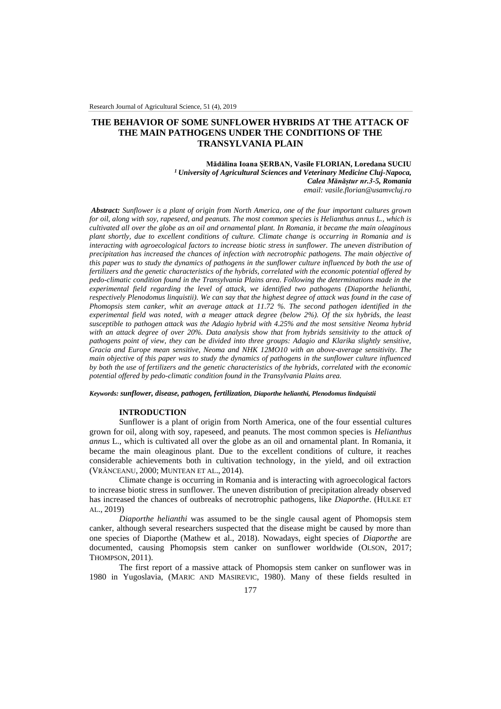# **THE BEHAVIOR OF SOME SUNFLOWER HYBRIDS AT THE ATTACK OF THE MAIN PATHOGENS UNDER THE CONDITIONS OF THE TRANSYLVANIA PLAIN**

**Mădălina Ioana ȘERBAN, Vasile FLORIAN, Loredana SUCIU** *<sup>1</sup>University of Agricultural Sciences and Veterinary Medicine Cluj-Napoca, Calea Mănăștur nr.3-5, Romania email: vasile.florian@usamvcluj.ro* 

*Abstract: Sunflower is a plant of origin from North America, one of the four important cultures grown for oil, along with soy, rapeseed, and peanuts. The most common species is Helianthus annus L., which is cultivated all over the globe as an oil and ornamental plant. In Romania, it became the main oleaginous plant shortly, due to excellent conditions of culture. Climate change is occurring in Romania and is interacting with agroecological factors to increase biotic stress in sunflower. The uneven distribution of precipitation has increased the chances of infection with necrotrophic pathogens. The main objective of this paper was to study the dynamics of pathogens in the sunflower culture influenced by both the use of fertilizers and the genetic characteristics of the hybrids, correlated with the economic potential offered by pedo-climatic condition found in the Transylvania Plains area. Following the determinations made in the experimental field regarding the level of attack, we identified two pathogens (Diaporthe helianthi, respectively Plenodomus linquistii). We can say that the highest degree of attack was found in the case of Phomopsis stem canker, whit an average attack at 11.72 %. The second pathogen identified in the experimental field was noted, with a meager attack degree (below 2%). Of the six hybrids, the least susceptible to pathogen attack was the Adagio hybrid with 4.25% and the most sensitive Neoma hybrid with an attack degree of over 20%. Data analysis show that from hybrids sensitivity to the attack of pathogens point of view, they can be divided into three groups: Adagio and Klarika slightly sensitive, Gracia and Europe mean sensitive, Neoma and NHK 12MO10 with an above-average sensitivity. The main objective of this paper was to study the dynamics of pathogens in the sunflower culture influenced by both the use of fertilizers and the genetic characteristics of the hybrids, correlated with the economic potential offered by pedo-climatic condition found in the Transylvania Plains area.* 

*Keywords: sunflower, disease, pathogen, fertilization, Diaporthe helianthi, Plenodomus lindquistii*

#### **INTRODUCTION**

Sunflower is a plant of origin from North America, one of the four essential cultures grown for oil, along with soy, rapeseed, and peanuts. The most common species is *Helianthus annus* L., which is cultivated all over the globe as an oil and ornamental plant. In Romania, it became the main oleaginous plant. Due to the excellent conditions of culture, it reaches considerable achievements both in cultivation technology, in the yield, and oil extraction (VRÂNCEANU, 2000; MUNTEAN ET AL., 2014).

Climate change is occurring in Romania and is interacting with agroecological factors to increase biotic stress in sunflower. The uneven distribution of precipitation already observed has increased the chances of outbreaks of necrotrophic pathogens, like *Diaporthe*. (HULKE ET AL., 2019)

*Diaporthe helianthi* was assumed to be the single causal agent of Phomopsis stem canker, although several researchers suspected that the disease might be caused by more than one species of Diaporthe (Mathew et al., 2018). Nowadays, eight species of *Diaporthe* are documented, causing Phomopsis stem canker on sunflower worldwide (OLSON, 2017; THOMPSON, 2011).

The first report of a massive attack of Phomopsis stem canker on sunflower was in 1980 in Yugoslavia, (MARIC AND MASIREVIC, 1980). Many of these fields resulted in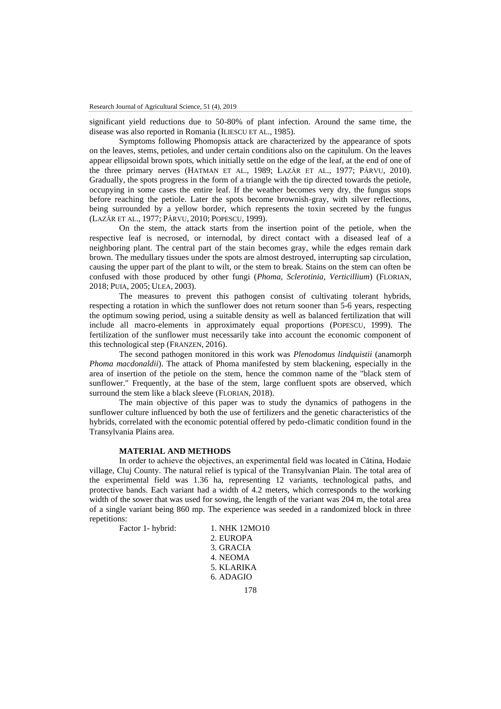significant yield reductions due to 50-80% of plant infection. Around the same time, the disease was also reported in Romania (ILIESCU ET AL., 1985).

Symptoms following Phomopsis attack are characterized by the appearance of spots on the leaves, stems, petioles, and under certain conditions also on the capitulum. On the leaves appear ellipsoidal brown spots, which initially settle on the edge of the leaf, at the end of one of the three primary nerves (HATMAN ET AL., 1989; LAZĂR ET AL., 1977; PÂRVU, 2010). Gradually, the spots progress in the form of a triangle with the tip directed towards the petiole, occupying in some cases the entire leaf. If the weather becomes very dry, the fungus stops before reaching the petiole. Later the spots become brownish-gray, with silver reflections, being surrounded by a yellow border, which represents the toxin secreted by the fungus (LAZĂR ET AL., 1977; PÂRVU, 2010; POPESCU, 1999).

On the stem, the attack starts from the insertion point of the petiole, when the respective leaf is necrosed, or internodal, by direct contact with a diseased leaf of a neighboring plant. The central part of the stain becomes gray, while the edges remain dark brown. The medullary tissues under the spots are almost destroyed, interrupting sap circulation, causing the upper part of the plant to wilt, or the stem to break. Stains on the stem can often be confused with those produced by other fungi (*Phoma, Sclerotinia, Verticillium*) (FLORIAN, 2018; PUIA, 2005; ULEA, 2003).

The measures to prevent this pathogen consist of cultivating tolerant hybrids, respecting a rotation in which the sunflower does not return sooner than 5-6 years, respecting the optimum sowing period, using a suitable density as well as balanced fertilization that will include all macro-elements in approximately equal proportions (POPESCU, 1999). The fertilization of the sunflower must necessarily take into account the economic component of this technological step (FRANZEN, 2016).

The second pathogen monitored in this work was *Plenodomus lindquistii* (anamorph *Phoma macdonaldii*). The attack of Phoma manifested by stem blackening, especially in the area of insertion of the petiole on the stem, hence the common name of the "black stem of sunflower." Frequently, at the base of the stem, large confluent spots are observed, which surround the stem like a black sleeve (FLORIAN, 2018).

The main objective of this paper was to study the dynamics of pathogens in the sunflower culture influenced by both the use of fertilizers and the genetic characteristics of the hybrids, correlated with the economic potential offered by pedo-climatic condition found in the Transylvania Plains area.

### **MATERIAL AND METHODS**

In order to achieve the objectives, an experimental field was located in Cătina, Hodaie village, Cluj County. The natural relief is typical of the Transylvanian Plain. The total area of the experimental field was 1.36 ha, representing 12 variants, technological paths, and protective bands. Each variant had a width of 4.2 meters, which corresponds to the working width of the sower that was used for sowing, the length of the variant was 204 m, the total area of a single variant being 860 mp. The experience was seeded in a randomized block in three repetitions:

Factor 1- hybrid: 1. NHK 12MO10

2. EUROPA 3. GRACIA 4. NEOMA 5. KLARIKA 6. ADAGIO

178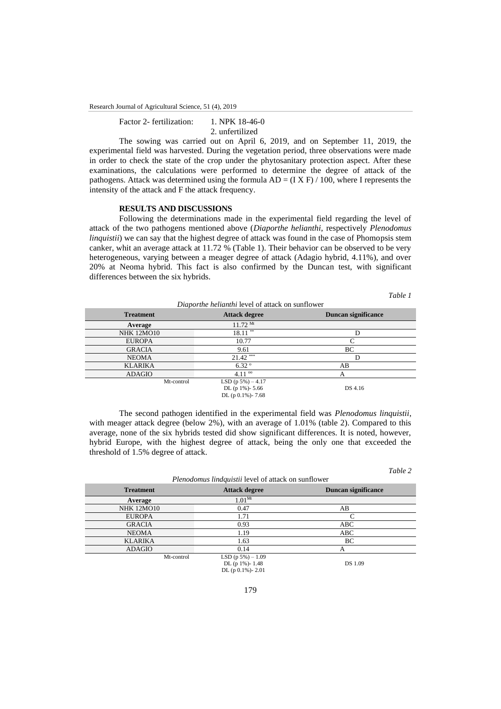Research Journal of Agricultural Science, 51 (4), 2019

Factor 2- fertilization: 1. NPK 18-46-0 2. unfertilized

The sowing was carried out on April 6, 2019, and on September 11, 2019, the experimental field was harvested. During the vegetation period, three observations were made in order to check the state of the crop under the phytosanitary protection aspect. After these examinations, the calculations were performed to determine the degree of attack of the pathogens. Attack was determined using the formula  $AD = (IX F) / 100$ , where I represents the intensity of the attack and F the attack frequency.

# **RESULTS AND DISCUSSIONS**

Following the determinations made in the experimental field regarding the level of attack of the two pathogens mentioned above (*Diaporthe helianthi*, respectively *Plenodomus linquistii*) we can say that the highest degree of attack was found in the case of Phomopsis stem canker, whit an average attack at 11.72 % (Table 1). Their behavior can be observed to be very heterogeneous, varying between a meager degree of attack (Adagio hybrid, 4.11%), and over 20% at Neoma hybrid. This fact is also confirmed by the Duncan test, with significant differences between the six hybrids.

*Table 1*

| Diaporthe helianthi level of attack on sunflower |                         |                     |  |
|--------------------------------------------------|-------------------------|---------------------|--|
| <b>Treatment</b>                                 | <b>Attack degree</b>    | Duncan significance |  |
| Average                                          | $11.72$ Mt              |                     |  |
| <b>NHK 12MO10</b>                                | $18.11***$              | D                   |  |
| <b>EUROPA</b>                                    | 10.77                   | $\Gamma$            |  |
| <b>GRACIA</b>                                    | 9.61                    | BC                  |  |
| <b>NEOMA</b>                                     | $21.42$ ***             | D                   |  |
| <b>KLARIKA</b>                                   | $6.32^{\circ}$          | AВ                  |  |
| <b>ADAGIO</b>                                    | $4.11^{\circ}$          | А                   |  |
| Mt-control                                       | LSD $(p 5\%) - 4.17$    |                     |  |
|                                                  | DL (p $1\%$ )- 5.66     | DS 4.16             |  |
|                                                  | DL (p $ 0.1\%$ ) - 7.68 |                     |  |

The second pathogen identified in the experimental field was *Plenodomus linquistii*, with meager attack degree (below 2%), with an average of 1.01% (table 2). Compared to this average, none of the six hybrids tested did show significant differences. It is noted, however, hybrid Europe, with the highest degree of attack, being the only one that exceeded the threshold of 1.5% degree of attack.

|                                                     |                                                                   | Table 2             |  |
|-----------------------------------------------------|-------------------------------------------------------------------|---------------------|--|
| Plenodomus lindquistii level of attack on sunflower |                                                                   |                     |  |
| <b>Treatment</b>                                    | <b>Attack degree</b>                                              | Duncan significance |  |
| Average                                             | $1.01^{Mt}$                                                       |                     |  |
| <b>NHK 12MO10</b>                                   | 0.47                                                              | AB                  |  |
| <b>EUROPA</b>                                       | 1.71                                                              | $\mathcal{C}$       |  |
| <b>GRACIA</b>                                       | 0.93                                                              | ABC                 |  |
| <b>NEOMA</b>                                        | 1.19                                                              | ABC                 |  |
| <b>KLARIKA</b>                                      | 1.63                                                              | BC                  |  |
| <b>ADAGIO</b>                                       | 0.14                                                              | А                   |  |
| Mt-control                                          | LSD $(p 5\%) - 1.09$<br>DL (p 1%)-1.48<br>DL (p $ 0.1\%$ ) - 2.01 | <b>DS</b> 1.09      |  |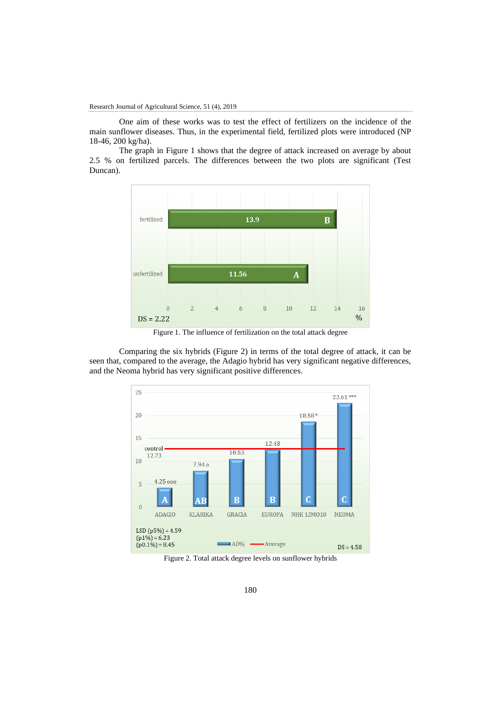One aim of these works was to test the effect of fertilizers on the incidence of the main sunflower diseases. Thus, in the experimental field, fertilized plots were introduced (NP 18-46, 200 kg/ha).

The graph in Figure 1 shows that the degree of attack increased on average by about 2.5 % on fertilized parcels. The differences between the two plots are significant (Test Duncan).



Figure 1. The influence of fertilization on the total attack degree

Comparing the six hybrids (Figure 2) in terms of the total degree of attack, it can be seen that, compared to the average, the Adagio hybrid has very significant negative differences, and the Neoma hybrid has very significant positive differences.



Figure 2. Total attack degree levels on sunflower hybrids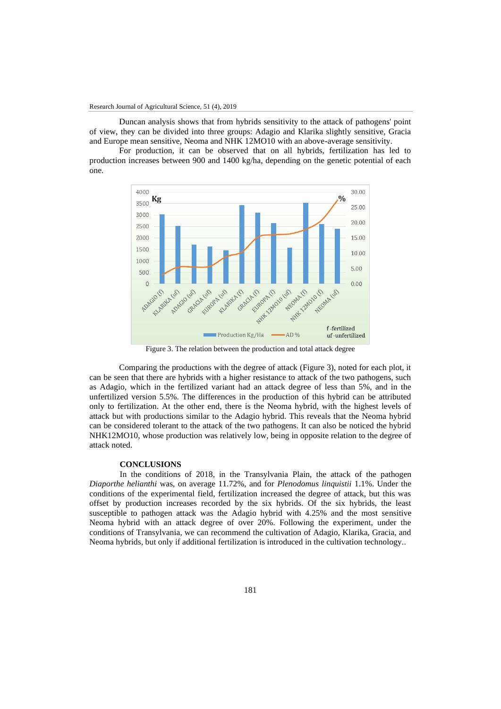Duncan analysis shows that from hybrids sensitivity to the attack of pathogens' point of view, they can be divided into three groups: Adagio and Klarika slightly sensitive, Gracia and Europe mean sensitive, Neoma and NHK 12MO10 with an above-average sensitivity.

For production, it can be observed that on all hybrids, fertilization has led to production increases between 900 and 1400 kg/ha, depending on the genetic potential of each one.



Figure 3. The relation between the production and total attack degree

Comparing the productions with the degree of attack (Figure 3), noted for each plot, it can be seen that there are hybrids with a higher resistance to attack of the two pathogens, such as Adagio, which in the fertilized variant had an attack degree of less than 5%, and in the unfertilized version 5.5%. The differences in the production of this hybrid can be attributed only to fertilization. At the other end, there is the Neoma hybrid, with the highest levels of attack but with productions similar to the Adagio hybrid. This reveals that the Neoma hybrid can be considered tolerant to the attack of the two pathogens. It can also be noticed the hybrid NHK12MO10, whose production was relatively low, being in opposite relation to the degree of attack noted.

# **CONCLUSIONS**

In the conditions of 2018, in the Transylvania Plain, the attack of the pathogen *Diaporthe helianthi* was, on average 11.72%, and for *Plenodomus linquistii* 1.1%. Under the conditions of the experimental field, fertilization increased the degree of attack, but this was offset by production increases recorded by the six hybrids. Of the six hybrids, the least susceptible to pathogen attack was the Adagio hybrid with 4.25% and the most sensitive Neoma hybrid with an attack degree of over 20%. Following the experiment, under the conditions of Transylvania, we can recommend the cultivation of Adagio, Klarika, Gracia, and Neoma hybrids, but only if additional fertilization is introduced in the cultivation technology..